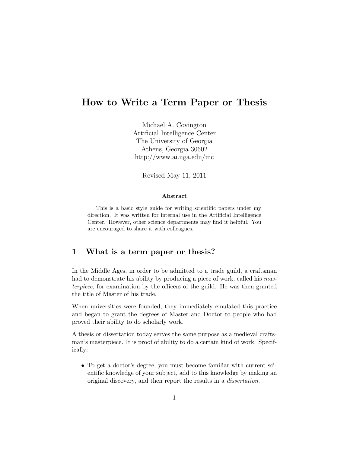# How to Write a Term Paper or Thesis

Michael A. Covington Artificial Intelligence Center The University of Georgia Athens, Georgia 30602 http://www.ai.uga.edu/mc

Revised May 11, 2011

#### Abstract

This is a basic style guide for writing scientific papers under my direction. It was written for internal use in the Artificial Intelligence Center. However, other science departments may find it helpful. You are encouraged to share it with colleagues.

### 1 What is a term paper or thesis?

In the Middle Ages, in order to be admitted to a trade guild, a craftsman had to demonstrate his ability by producing a piece of work, called his masterpiece, for examination by the officers of the guild. He was then granted the title of Master of his trade.

When universities were founded, they immediately emulated this practice and began to grant the degrees of Master and Doctor to people who had proved their ability to do scholarly work.

A thesis or dissertation today serves the same purpose as a medieval craftsman's masterpiece. It is proof of ability to do a certain kind of work. Specifically:

• To get a doctor's degree, you must become familiar with current scientific knowledge of your subject, add to this knowledge by making an original discovery, and then report the results in a dissertation.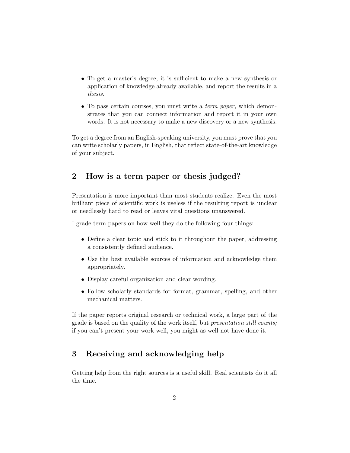- To get a master's degree, it is sufficient to make a new synthesis or application of knowledge already available, and report the results in a thesis.
- To pass certain courses, you must write a *term paper*, which demonstrates that you can connect information and report it in your own words. It is not necessary to make a new discovery or a new synthesis.

To get a degree from an English-speaking university, you must prove that you can write scholarly papers, in English, that reflect state-of-the-art knowledge of your subject.

# 2 How is a term paper or thesis judged?

Presentation is more important than most students realize. Even the most brilliant piece of scientific work is useless if the resulting report is unclear or needlessly hard to read or leaves vital questions unanswered.

I grade term papers on how well they do the following four things:

- Define a clear topic and stick to it throughout the paper, addressing a consistently defined audience.
- Use the best available sources of information and acknowledge them appropriately.
- Display careful organization and clear wording.
- Follow scholarly standards for format, grammar, spelling, and other mechanical matters.

If the paper reports original research or technical work, a large part of the grade is based on the quality of the work itself, but presentation still counts; if you can't present your work well, you might as well not have done it.

## 3 Receiving and acknowledging help

Getting help from the right sources is a useful skill. Real scientists do it all the time.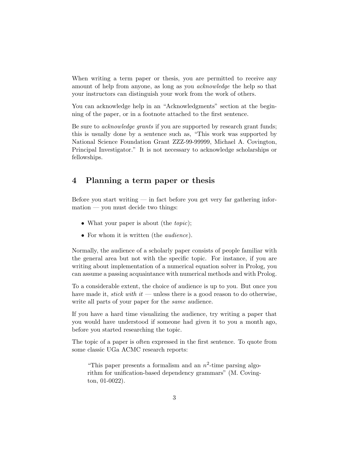When writing a term paper or thesis, you are permitted to receive any amount of help from anyone, as long as you acknowledge the help so that your instructors can distinguish your work from the work of others.

You can acknowledge help in an "Acknowledgments" section at the beginning of the paper, or in a footnote attached to the first sentence.

Be sure to acknowledge grants if you are supported by research grant funds; this is usually done by a sentence such as, "This work was supported by National Science Foundation Grant ZZZ-99-99999, Michael A. Covington, Principal Investigator." It is not necessary to acknowledge scholarships or fellowships.

## 4 Planning a term paper or thesis

Before you start writing  $\frac{1}{2}$  in fact before you get very far gathering information — you must decide two things:

- What your paper is about (the *topic*);
- For whom it is written (the *audience*).

Normally, the audience of a scholarly paper consists of people familiar with the general area but not with the specific topic. For instance, if you are writing about implementation of a numerical equation solver in Prolog, you can assume a passing acquaintance with numerical methods and with Prolog.

To a considerable extent, the choice of audience is up to you. But once you have made it, *stick with it* — unless there is a good reason to do otherwise, write all parts of your paper for the same audience.

If you have a hard time visualizing the audience, try writing a paper that you would have understood if someone had given it to you a month ago, before you started researching the topic.

The topic of a paper is often expressed in the first sentence. To quote from some classic UGa ACMC research reports:

"This paper presents a formalism and an  $n^2$ -time parsing algorithm for unification-based dependency grammars" (M. Covington, 01-0022).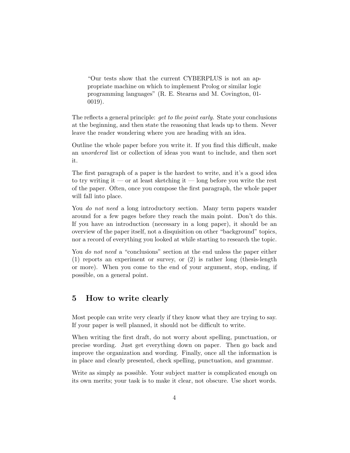"Our tests show that the current CYBERPLUS is not an appropriate machine on which to implement Prolog or similar logic programming languages" (R. E. Stearns and M. Covington, 01- 0019).

The reflects a general principle: *get to the point early*. State your conclusions at the beginning, and then state the reasoning that leads up to them. Never leave the reader wondering where you are heading with an idea.

Outline the whole paper before you write it. If you find this difficult, make an unordered list or collection of ideas you want to include, and then sort it.

The first paragraph of a paper is the hardest to write, and it's a good idea to try writing it — or at least sketching it — long before you write the rest of the paper. Often, once you compose the first paragraph, the whole paper will fall into place.

You *do not need* a long introductory section. Many term papers wander around for a few pages before they reach the main point. Don't do this. If you have an introduction (necessary in a long paper), it should be an overview of the paper itself, not a disquisition on other "background" topics, nor a record of everything you looked at while starting to research the topic.

You *do not need* a "conclusions" section at the end unless the paper either (1) reports an experiment or survey, or (2) is rather long (thesis-length or more). When you come to the end of your argument, stop, ending, if possible, on a general point.

### 5 How to write clearly

Most people can write very clearly if they know what they are trying to say. If your paper is well planned, it should not be difficult to write.

When writing the first draft, do not worry about spelling, punctuation, or precise wording. Just get everything down on paper. Then go back and improve the organization and wording. Finally, once all the information is in place and clearly presented, check spelling, punctuation, and grammar.

Write as simply as possible. Your subject matter is complicated enough on its own merits; your task is to make it clear, not obscure. Use short words.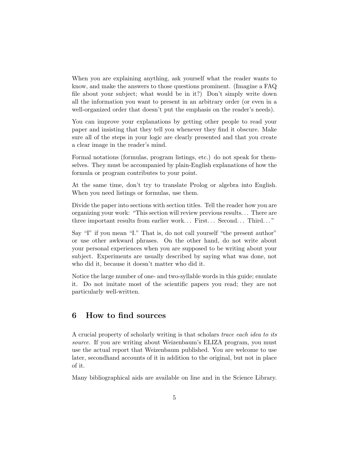When you are explaining anything, ask yourself what the reader wants to know, and make the answers to those questions prominent. (Imagine a FAQ file about your subject; what would be in it?) Don't simply write down all the information you want to present in an arbitrary order (or even in a well-organized order that doesn't put the emphasis on the reader's needs).

You can improve your explanations by getting other people to read your paper and insisting that they tell you whenever they find it obscure. Make sure all of the steps in your logic are clearly presented and that you create a clear image in the reader's mind.

Formal notations (formulas, program listings, etc.) do not speak for themselves. They must be accompanied by plain-English explanations of how the formula or program contributes to your point.

At the same time, don't try to translate Prolog or algebra into English. When you need listings or formulas, use them.

Divide the paper into sections with section titles. Tell the reader how you are organizing your work: "This section will review previous results. . . There are three important results from earlier work... First... Second... Third..."

Say "I" if you mean "I." That is, do not call yourself "the present author" or use other awkward phrases. On the other hand, do not write about your personal experiences when you are supposed to be writing about your subject. Experiments are usually described by saying what was done, not who did it, because it doesn't matter who did it.

Notice the large number of one- and two-syllable words in this guide; emulate it. Do not imitate most of the scientific papers you read; they are not particularly well-written.

## 6 How to find sources

A crucial property of scholarly writing is that scholars trace each idea to its source. If you are writing about Weizenbaum's ELIZA program, you must use the actual report that Weizenbaum published. You are welcome to use later, secondhand accounts of it in addition to the original, but not in place of it.

Many bibliographical aids are available on line and in the Science Library.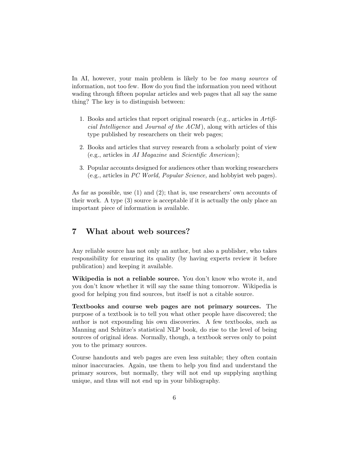In AI, however, your main problem is likely to be *too many sources* of information, not too few. How do you find the information you need without wading through fifteen popular articles and web pages that all say the same thing? The key is to distinguish between:

- 1. Books and articles that report original research (e.g., articles in Artifi*cial Intelligence* and *Journal of the*  $ACM$ *)*, along with articles of this type published by researchers on their web pages;
- 2. Books and articles that survey research from a scholarly point of view (e.g., articles in AI Magazine and Scientific American);
- 3. Popular accounts designed for audiences other than working researchers (e.g., articles in PC World, Popular Science, and hobbyist web pages).

As far as possible, use (1) and (2); that is, use researchers' own accounts of their work. A type (3) source is acceptable if it is actually the only place an important piece of information is available.

## 7 What about web sources?

Any reliable source has not only an author, but also a publisher, who takes responsibility for ensuring its quality (by having experts review it before publication) and keeping it available.

Wikipedia is not a reliable source. You don't know who wrote it, and you don't know whether it will say the same thing tomorrow. Wikipedia is good for helping you find sources, but itself is not a citable source.

Textbooks and course web pages are not primary sources. The purpose of a textbook is to tell you what other people have discovered; the author is not expounding his own discoveries. A few textbooks, such as Manning and Schütze's statistical NLP book, do rise to the level of being sources of original ideas. Normally, though, a textbook serves only to point you to the primary sources.

Course handouts and web pages are even less suitable; they often contain minor inaccuracies. Again, use them to help you find and understand the primary sources, but normally, they will not end up supplying anything unique, and thus will not end up in your bibliography.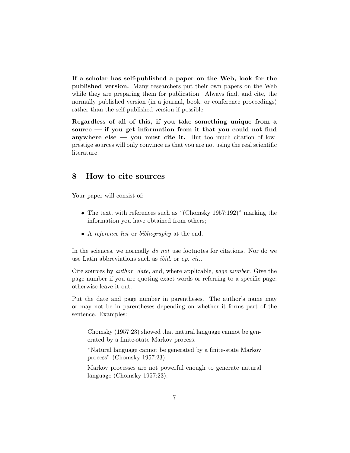If a scholar has self-published a paper on the Web, look for the published version. Many researchers put their own papers on the Web while they are preparing them for publication. Always find, and cite, the normally published version (in a journal, book, or conference proceedings) rather than the self-published version if possible.

Regardless of all of this, if you take something unique from a source  $-$  if you get information from it that you could not find anywhere else — you must cite it. But too much citation of lowprestige sources will only convince us that you are not using the real scientific literature.

### 8 How to cite sources

Your paper will consist of:

- The text, with references such as "(Chomsky 1957:192)" marking the information you have obtained from others;
- A reference list or bibliography at the end.

In the sciences, we normally *do not* use footnotes for citations. Nor do we use Latin abbreviations such as ibid. or op. cit..

Cite sources by author, date, and, where applicable, page number. Give the page number if you are quoting exact words or referring to a specific page; otherwise leave it out.

Put the date and page number in parentheses. The author's name may or may not be in parentheses depending on whether it forms part of the sentence. Examples:

Chomsky (1957:23) showed that natural language cannot be generated by a finite-state Markov process.

"Natural language cannot be generated by a finite-state Markov process" (Chomsky 1957:23).

Markov processes are not powerful enough to generate natural language (Chomsky 1957:23).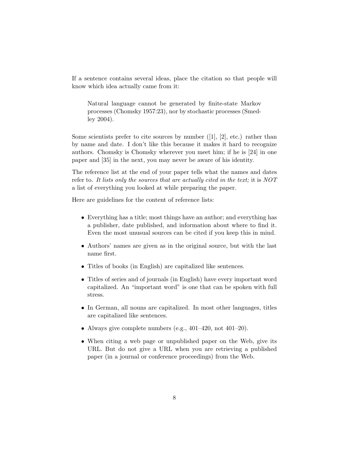If a sentence contains several ideas, place the citation so that people will know which idea actually came from it:

Natural language cannot be generated by finite-state Markov processes (Chomsky 1957:23), nor by stochastic processes (Smedley 2004).

Some scientists prefer to cite sources by number  $([1], [2],$  etc.) rather than by name and date. I don't like this because it makes it hard to recognize authors. Chomsky is Chomsky wherever you meet him; if he is [24] in one paper and [35] in the next, you may never be aware of his identity.

The reference list at the end of your paper tells what the names and dates refer to. It lists only the sources that are actually cited in the text; it is NOT a list of everything you looked at while preparing the paper.

Here are guidelines for the content of reference lists:

- Everything has a title; most things have an author; and everything has a publisher, date published, and information about where to find it. Even the most unusual sources can be cited if you keep this in mind.
- Authors' names are given as in the original source, but with the last name first.
- Titles of books (in English) are capitalized like sentences.
- Titles of series and of journals (in English) have every important word capitalized. An "important word" is one that can be spoken with full stress.
- In German, all nouns are capitalized. In most other languages, titles are capitalized like sentences.
- Always give complete numbers (e.g.,  $401-420$ , not  $401-20$ ).
- When citing a web page or unpublished paper on the Web, give its URL. But do not give a URL when you are retrieving a published paper (in a journal or conference proceedings) from the Web.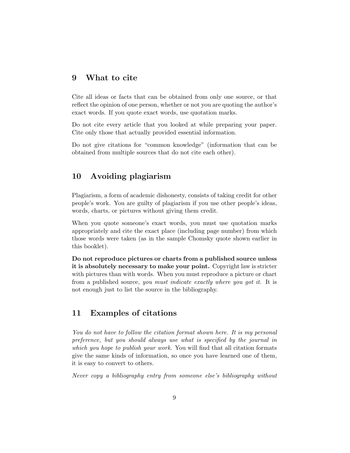### 9 What to cite

Cite all ideas or facts that can be obtained from only one source, or that reflect the opinion of one person, whether or not you are quoting the author's exact words. If you quote exact words, use quotation marks.

Do not cite every article that you looked at while preparing your paper. Cite only those that actually provided essential information.

Do not give citations for "common knowledge" (information that can be obtained from multiple sources that do not cite each other).

# 10 Avoiding plagiarism

Plagiarism, a form of academic dishonesty, consists of taking credit for other people's work. You are guilty of plagiarism if you use other people's ideas, words, charts, or pictures without giving them credit.

When you quote someone's exact words, you must use quotation marks appropriately and cite the exact place (including page number) from which those words were taken (as in the sample Chomsky quote shown earlier in this booklet).

Do not reproduce pictures or charts from a published source unless it is absolutely necessary to make your point. Copyright law is stricter with pictures than with words. When you must reproduce a picture or chart from a published source, you must indicate exactly where you got it. It is not enough just to list the source in the bibliography.

## 11 Examples of citations

You do not have to follow the citation format shown here. It is my personal preference, but you should always use what is specified by the journal in which you hope to publish your work. You will find that all citation formats give the same kinds of information, so once you have learned one of them, it is easy to convert to others.

Never copy a bibliography entry from someone else's bibliography without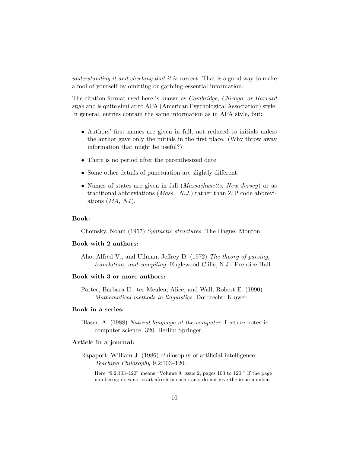understanding it and checking that it is correct. That is a good way to make a fool of yourself by omitting or garbling essential information.

The citation format used here is known as Cambridge, Chicago, or Harvard style and is quite similar to APA (American Psychological Association) style. In general, entries contain the same information as in APA style, but:

- Authors' first names are given in full, not reduced to initials unless the author gave only the initials in the first place. (Why throw away information that might be useful?)
- There is no period after the parenthesized date.
- Some other details of punctuation are slightly different.
- Names of states are given in full *(Massachusetts, New Jersey)* or as traditional abbreviations (Mass., N.J.) rather than ZIP code abbreviations  $(MA, NJ)$ .

#### Book:

Chomsky, Noam (1957) Syntactic structures. The Hague: Mouton.

#### Book with 2 authors:

Aho, Alfred V., and Ullman, Jeffrey D. (1972) The theory of parsing, translation, and compiling. Englewood Cliffs, N.J.: Prentice-Hall.

#### Book with 3 or more authors:

Partee, Barbara H.; ter Meulen, Alice; and Wall, Robert E. (1990) Mathematical methods in linguistics. Dordrecht: Kluwer.

#### Book in a series:

Blaser, A. (1988) Natural language at the computer. Lecture notes in computer science, 320. Berlin: Springer.

#### Article in a journal:

Rapaport, William J. (1986) Philosophy of artificial intelligence. Teaching Philosophy 9.2:103–120.

Here "9.2:103–120" means "Volume 9, issue 2, pages 103 to 120." If the page numbering does not start afresh in each issue, do not give the issue number.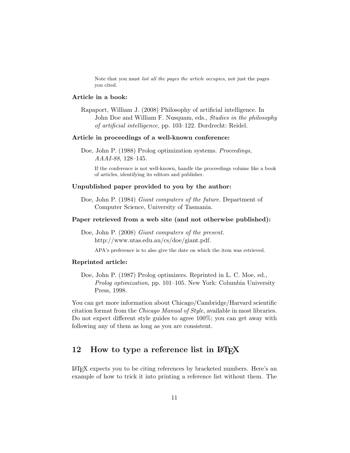Note that you must list all the pages the article occupies, not just the pages you cited.

#### Article in a book:

Rapaport, William J. (2008) Philosophy of artificial intelligence. In John Doe and William F. Nusquam, eds., Studies in the philosophy of artificial intelligence, pp. 103–122. Dordrecht: Reidel.

#### Article in proceedings of a well-known conference:

Doe, John P. (1988) Prolog optimization systems. Proceedings, AAAI-88, 128–145.

If the conference is not well-known, handle the proceedings volume like a book of articles, identifying its editors and publisher.

#### Unpublished paper provided to you by the author:

Doe, John P. (1984) Giant computers of the future. Department of Computer Science, University of Tasmania.

#### Paper retrieved from a web site (and not otherwise published):

Doe, John P. (2008) Giant computers of the present. http://www.utas.edu.au/cs/doe/giant.pdf.

APA's preference is to also give the date on which the item was retrieved.

#### Reprinted article:

Doe, John P. (1987) Prolog optimizers. Reprinted in L. C. Moe, ed., Prolog optimization, pp. 101–105. New York: Columbia University Press, 1998.

You can get more information about Chicago/Cambridge/Harvard scientific citation format from the Chicago Manual of Style, available in most libraries. Do not expect different style guides to agree 100%; you can get away with following any of them as long as you are consistent.

# 12 How to type a reference list in LAT<sub>EX</sub>

LATEX expects you to be citing references by bracketed numbers. Here's an example of how to trick it into printing a reference list without them. The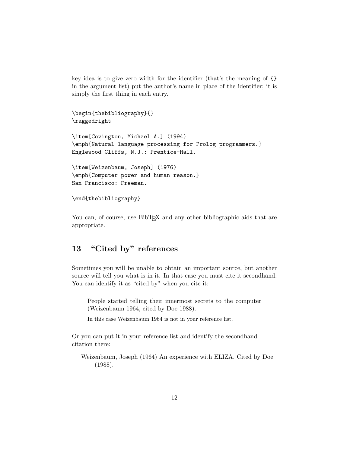key idea is to give zero width for the identifier (that's the meaning of {} in the argument list) put the author's name in place of the identifier; it is simply the first thing in each entry.

```
\begin{thebibliography}{}
\raggedright
\item[Covington, Michael A.] (1994)
\emph{Natural language processing for Prolog programmers.}
Englewood Cliffs, N.J.: Prentice-Hall.
\item[Weizenbaum, Joseph] (1976)
\emph{Computer power and human reason.}
San Francisco: Freeman.
```

```
\end{thebibliography}
```
You can, of course, use BibT<sub>EX</sub> and any other bibliographic aids that are appropriate.

# 13 "Cited by" references

Sometimes you will be unable to obtain an important source, but another source will tell you what is in it. In that case you must cite it secondhand. You can identify it as "cited by" when you cite it:

People started telling their innermost secrets to the computer (Weizenbaum 1964, cited by Doe 1988).

In this case Weizenbaum 1964 is not in your reference list.

Or you can put it in your reference list and identify the secondhand citation there:

Weizenbaum, Joseph (1964) An experience with ELIZA. Cited by Doe (1988).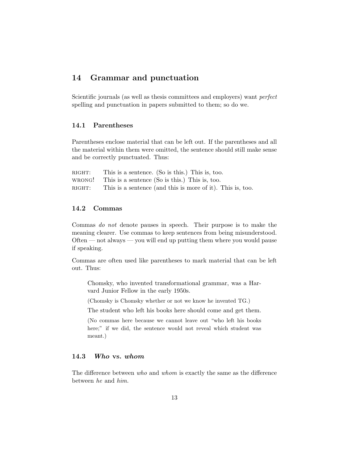### 14 Grammar and punctuation

Scientific journals (as well as thesis committees and employers) want *perfect* spelling and punctuation in papers submitted to them; so do we.

### 14.1 Parentheses

Parentheses enclose material that can be left out. If the parentheses and all the material within them were omitted, the sentence should still make sense and be correctly punctuated. Thus:

| RIGHT: | This is a sentence. (So is this.) This is, too.                 |
|--------|-----------------------------------------------------------------|
|        | WRONG! This is a sentence $(So \text{ is this.})$ This is, too. |
| RIGHT: | This is a sentence (and this is more of it). This is, too       |

### 14.2 Commas

Commas do not denote pauses in speech. Their purpose is to make the meaning clearer. Use commas to keep sentences from being misunderstood. Often — not always — you will end up putting them where you would pause if speaking.

Commas are often used like parentheses to mark material that can be left out. Thus:

Chomsky, who invented transformational grammar, was a Harvard Junior Fellow in the early 1950s.

(Chomsky is Chomsky whether or not we know he invented TG.)

The student who left his books here should come and get them.

(No commas here because we cannot leave out "who left his books here;" if we did, the sentence would not reveal which student was meant.)

## 14.3 Who vs. whom

The difference between who and whom is exactly the same as the difference between he and him.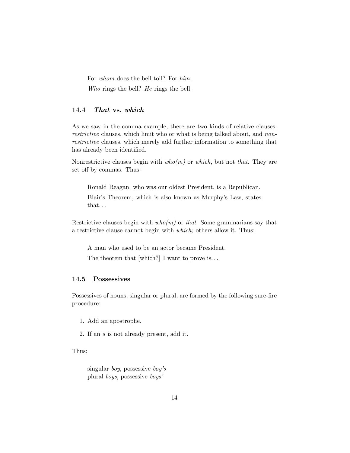For whom does the bell toll? For him.

Who rings the bell? He rings the bell.

### 14.4 That vs. which

As we saw in the comma example, there are two kinds of relative clauses: restrictive clauses, which limit who or what is being talked about, and nonrestrictive clauses, which merely add further information to something that has already been identified.

Nonrestrictive clauses begin with  $who(m)$  or which, but not that. They are set off by commas. Thus:

Ronald Reagan, who was our oldest President, is a Republican.

Blair's Theorem, which is also known as Murphy's Law, states that. . .

Restrictive clauses begin with  $who(m)$  or that. Some grammarians say that a restrictive clause cannot begin with which; others allow it. Thus:

A man who used to be an actor became President.

The theorem that [which?] I want to prove is...

#### 14.5 Possessives

Possessives of nouns, singular or plural, are formed by the following sure-fire procedure:

- 1. Add an apostrophe.
- 2. If an s is not already present, add it.

Thus:

singular boy, possessive boy's plural boys, possessive boys'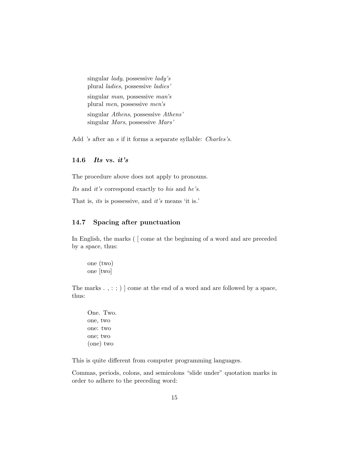singular lady, possessive lady's plural ladies, possessive ladies' singular man, possessive man's plural men, possessive men's singular Athens, possessive Athens' singular Mars, possessive Mars'

Add 's after an s if it forms a separate syllable: *Charles's*.

### 14.6 Its vs.  $it's$

The procedure above does not apply to pronouns.

Its and it's correspond exactly to his and he's.

That is, its is possessive, and it's means 'it is.'

#### 14.7 Spacing after punctuation

In English, the marks ( [ come at the beginning of a word and are preceded by a space, thus:

one (two) one [two]

The marks . , : ; ) ] come at the end of a word and are followed by a space, thus:

One. Two. one, two one: two one; two (one) two

This is quite different from computer programming languages.

Commas, periods, colons, and semicolons "slide under" quotation marks in order to adhere to the preceding word: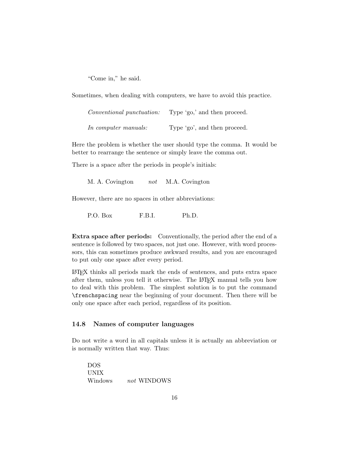"Come in," he said.

Sometimes, when dealing with computers, we have to avoid this practice.

| <i>Conventional punctuation:</i> | Type 'go,' and then proceed. |
|----------------------------------|------------------------------|
| In computer manuals:             | Type 'go', and then proceed. |

Here the problem is whether the user should type the comma. It would be better to rearrange the sentence or simply leave the comma out.

There is a space after the periods in people's initials:

M. A. Covington *not* M.A. Covington

However, there are no spaces in other abbreviations:

P.O. Box F.B.I. Ph.D.

Extra space after periods: Conventionally, the period after the end of a sentence is followed by two spaces, not just one. However, with word processors, this can sometimes produce awkward results, and you are encouraged to put only one space after every period.

LATEX thinks all periods mark the ends of sentences, and puts extra space after them, unless you tell it otherwise. The LATEX manual tells you how to deal with this problem. The simplest solution is to put the command \frenchspacing near the beginning of your document. Then there will be only one space after each period, regardless of its position.

### 14.8 Names of computer languages

Do not write a word in all capitals unless it is actually an abbreviation or is normally written that way. Thus:

DOS UNIX Windows not WINDOWS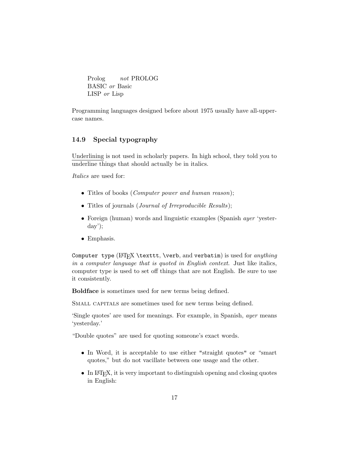Prolog not PROLOG BASIC or Basic LISP or Lisp

Programming languages designed before about 1975 usually have all-uppercase names.

### 14.9 Special typography

Underlining is not used in scholarly papers. In high school, they told you to underline things that should actually be in italics.

Italics are used for:

- Titles of books (*Computer power and human reason*);
- Titles of journals (*Journal of Irreproducible Results*);
- Foreign (human) words and linguistic examples (Spanish *ayer* 'yesterday');
- Emphasis.

Computer type  $[ATFX \text{ \verb|\vert}, and verbatim)$  is used for anything in a computer language that is quoted in English context. Just like italics, computer type is used to set off things that are not English. Be sure to use it consistently.

Boldface is sometimes used for new terms being defined.

SMALL CAPITALS are sometimes used for new terms being defined.

'Single quotes' are used for meanings. For example, in Spanish, ayer means 'yesterday.'

"Double quotes" are used for quoting someone's exact words.

- In Word, it is acceptable to use either "straight quotes" or "smart quotes," but do not vacillate between one usage and the other.
- In IAT<sub>F</sub>X, it is very important to distinguish opening and closing quotes in English: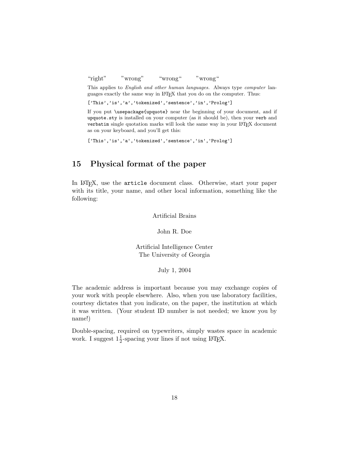"right" "wrong" "wrong" "wrong"

This applies to *English and other human languages*. Always type *computer* languages exactly the same way in LATEX that you do on the computer. Thus:

['This','is','a','tokenized','sentence','in','Prolog']

If you put \usepackage{upquote} near the beginning of your document, and if upquote.sty is installed on your computer (as it should be), then your verb and verbatim single quotation marks will look the same way in your L<sup>A</sup>T<sub>E</sub>X document as on your keyboard, and you'll get this:

['This','is','a','tokenized','sentence','in','Prolog']

## 15 Physical format of the paper

In LATEX, use the article document class. Otherwise, start your paper with its title, your name, and other local information, something like the following:

Artificial Brains

John R. Doe

Artificial Intelligence Center The University of Georgia

July 1, 2004

The academic address is important because you may exchange copies of your work with people elsewhere. Also, when you use laboratory facilities, courtesy dictates that you indicate, on the paper, the institution at which it was written. (Your student ID number is not needed; we know you by name!)

Double-spacing, required on typewriters, simply wastes space in academic work. I suggest  $1\frac{1}{2}$ -spacing your lines if not using L<sup>AT</sup>EX.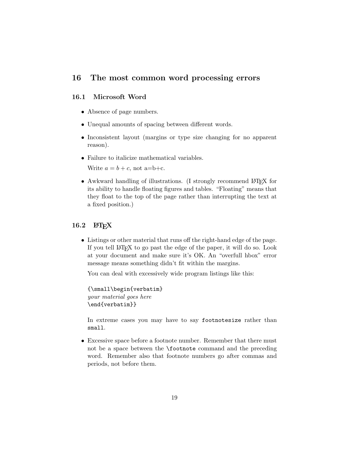### 16 The most common word processing errors

#### 16.1 Microsoft Word

- Absence of page numbers.
- Unequal amounts of spacing between different words.
- Inconsistent layout (margins or type size changing for no apparent reason).
- Failure to italicize mathematical variables.

Write  $a = b + c$ , not a=b+c.

• Awkward handling of illustrations. (I strongly recommend LAT<sub>EX</sub> for its ability to handle floating figures and tables. "Floating" means that they float to the top of the page rather than interrupting the text at a fixed position.)

#### $16.2$  LAT<sub>E</sub>X

• Listings or other material that runs off the right-hand edge of the page. If you tell  $\mathbb{A}T_FX$  to go past the edge of the paper, it will do so. Look at your document and make sure it's OK. An "overfull hbox" error message means something didn't fit within the margins.

You can deal with excessively wide program listings like this:

```
{\small\begin{verbatim}
your material goes here
\end{verbatim}}
```
In extreme cases you may have to say footnotesize rather than small.

• Excessive space before a footnote number. Remember that there must not be a space between the \footnote command and the preceding word. Remember also that footnote numbers go after commas and periods, not before them.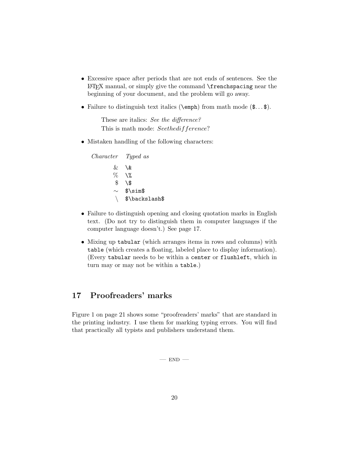- Excessive space after periods that are not ends of sentences. See the LATEX manual, or simply give the command \frenchspacing near the beginning of your document, and the problem will go away.
- Failure to distinguish text italics ( $\epsilon$ ) from math mode  $(\epsilon \dots \epsilon)$ .

These are italics: See the difference? This is math mode: Seethedifference?

• Mistaken handling of the following characters:

Character Typed as  $& \vee$  $\begin{matrix} 0 & 0 \\ 0 & 0 \\ 0 & 0 \end{matrix}$  $\sqrt{3}$ ∼ \$\sim\$ \ \$\backslash\$

- Failure to distinguish opening and closing quotation marks in English text. (Do not try to distinguish them in computer languages if the computer language doesn't.) See page 17.
- Mixing up tabular (which arranges items in rows and columns) with table (which creates a floating, labeled place to display information). (Every tabular needs to be within a center or flushleft, which in turn may or may not be within a table.)

# 17 Proofreaders' marks

Figure 1 on page 21 shows some "proofreaders' marks" that are standard in the printing industry. I use them for marking typing errors. You will find that practically all typists and publishers understand them.

 $-$  END  $-$